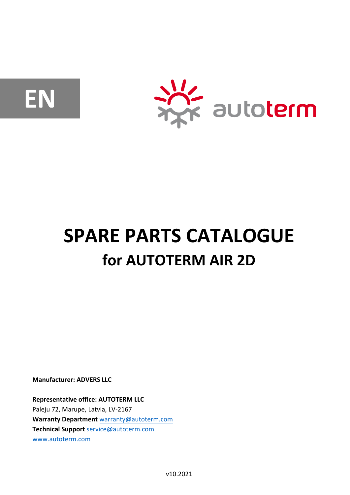**EN**



## **SPARE PARTS CATALOGUE for AUTOTERM AIR 2D**

**Manufacturer: ADVERS LLC** 

**Representative office: AUTOTERM LLC**  Paleju 72, Marupe, Latvia, LV-2167 **Warranty Department** warranty@autoterm.com **Technical Support** service@autoterm.com www.autoterm.com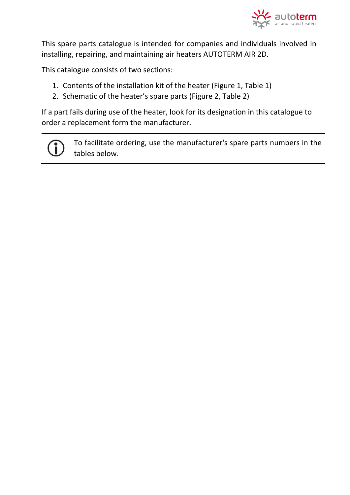

This spare parts catalogue is intended for companies and individuals involved in installing, repairing, and maintaining air heaters AUTOTERM AIR 2D.

This catalogue consists of two sections:

- 1. Contents of the installation kit of the heater (Figure 1, Table 1)
- 2. Schematic of the heater's spare parts (Figure 2, Table 2)

If a part fails during use of the heater, look for its designation in this catalogue to order a replacement form the manufacturer.

To facilitate ordering, use the manufacturer's spare parts numbers in the tables below.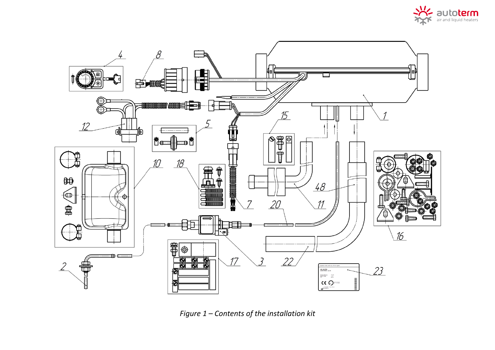



*Figure 1 – Contents of the installation kit*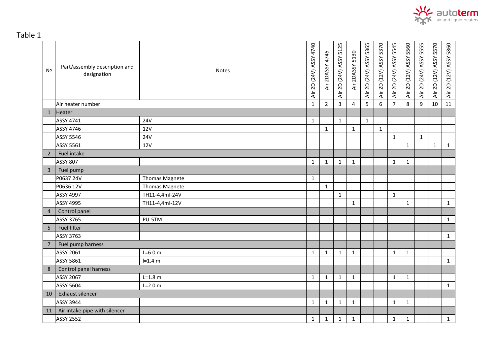

Table 1

| Nº             | Part/assembly description and<br>designation | <b>Notes</b>          | 4740<br>Air 2D (24V) ASSY | Air 2DASSY 4745 | 5125<br>Air 2D (24V) ASSY | Air 2DASSY 5130 | Air 2D (24V) ASSY 5365 | Air 2D (12V) ASSY 5370 | Air 2D (24V) ASSY 5545 | 5560<br>Air 2D (12V) ASSY | Air 2D (24V) ASSY 5555 | Air 2D (12V) ASSY 5570 | 5860<br>Air 2D (12V) ASSY |
|----------------|----------------------------------------------|-----------------------|---------------------------|-----------------|---------------------------|-----------------|------------------------|------------------------|------------------------|---------------------------|------------------------|------------------------|---------------------------|
|                | Air heater number                            |                       | $\mathbf{1}$              | $\overline{2}$  | 3                         | 4               | 5                      | 6                      | $\overline{7}$         | 8                         | 9                      | 10                     | 11                        |
| $\mathbf{1}$   | Heater                                       |                       |                           |                 |                           |                 |                        |                        |                        |                           |                        |                        |                           |
|                | <b>ASSY 4741</b>                             | <b>24V</b>            | $\mathbf{1}$              |                 | $\mathbf{1}$              |                 | $\mathbf{1}$           |                        |                        |                           |                        |                        |                           |
|                | <b>ASSY 4746</b>                             | <b>12V</b>            |                           | $\mathbf{1}$    |                           | $\mathbf{1}$    |                        | $\mathbf{1}$           |                        |                           |                        |                        |                           |
|                | <b>ASSY 5546</b>                             | <b>24V</b>            |                           |                 |                           |                 |                        |                        | $\mathbf{1}$           |                           | $\mathbf{1}$           |                        |                           |
|                | <b>ASSY 5561</b>                             | <b>12V</b>            |                           |                 |                           |                 |                        |                        |                        | $\mathbf{1}$              |                        | $\mathbf{1}$           | $\mathbf{1}$              |
| $\overline{2}$ | Fuel intake                                  |                       |                           |                 |                           |                 |                        |                        |                        |                           |                        |                        |                           |
|                | <b>ASSY 807</b>                              |                       | 1                         | $\mathbf{1}$    | $\mathbf{1}$              | $\mathbf{1}$    |                        |                        | $\mathbf{1}$           | $\mathbf{1}$              |                        |                        |                           |
| $\overline{3}$ | Fuel pump                                    |                       |                           |                 |                           |                 |                        |                        |                        |                           |                        |                        |                           |
|                | P0637 24V                                    | <b>Thomas Magnete</b> | $\mathbf{1}$              |                 |                           |                 |                        |                        |                        |                           |                        |                        |                           |
|                | P0636 12V                                    | <b>Thomas Magnete</b> |                           | $\mathbf{1}$    |                           |                 |                        |                        |                        |                           |                        |                        |                           |
|                | <b>ASSY 4997</b>                             | TH11-4,4ml-24V        |                           |                 | $\mathbf{1}$              |                 |                        |                        | $\mathbf 1$            |                           |                        |                        |                           |
|                | <b>ASSY 4995</b>                             | TH11-4,4ml-12V        |                           |                 |                           | $\mathbf{1}$    |                        |                        |                        | $\mathbf{1}$              |                        |                        | $\mathbf{1}$              |
| $\overline{4}$ | Control panel                                |                       |                           |                 |                           |                 |                        |                        |                        |                           |                        |                        |                           |
|                | <b>ASSY 3765</b>                             | PU-5TM                |                           |                 |                           |                 |                        |                        |                        |                           |                        |                        | $\mathbf{1}$              |
| 5              | <b>Fuel filter</b>                           |                       |                           |                 |                           |                 |                        |                        |                        |                           |                        |                        |                           |
|                | <b>ASSY 3763</b>                             |                       |                           |                 |                           |                 |                        |                        |                        |                           |                        |                        | $\mathbf{1}$              |
| $\overline{7}$ | Fuel pump harness                            |                       |                           |                 |                           |                 |                        |                        |                        |                           |                        |                        |                           |
|                | <b>ASSY 2061</b>                             | $L = 6.0 m$           | $\mathbf{1}$              | $\mathbf{1}$    | $\mathbf{1}$              | $\mathbf{1}$    |                        |                        | $\mathbf 1$            | $\mathbf{1}$              |                        |                        |                           |
|                | <b>ASSY 5861</b>                             | $I = 1.4 m$           |                           |                 |                           |                 |                        |                        |                        |                           |                        |                        | $\mathbf{1}$              |
| 8              | Control panel harness                        |                       |                           |                 |                           |                 |                        |                        |                        |                           |                        |                        |                           |
|                | <b>ASSY 2067</b>                             | $L = 1.8 m$           | $\mathbf{1}$              | $\mathbf{1}$    | $\mathbf{1}$              | $\mathbf{1}$    |                        |                        | $\mathbf{1}$           | $\mathbf{1}$              |                        |                        |                           |
|                | <b>ASSY 5604</b>                             | $L = 2.0 m$           |                           |                 |                           |                 |                        |                        |                        |                           |                        |                        | $\mathbf{1}$              |
| 10             | Exhaust silencer                             |                       |                           |                 |                           |                 |                        |                        |                        |                           |                        |                        |                           |
|                | <b>ASSY 3944</b>                             |                       | 1                         | $\mathbf{1}$    | $\mathbf{1}$              | $\mathbf{1}$    |                        |                        | $\mathbf{1}$           | $\mathbf{1}$              |                        |                        |                           |
| 11             | Air intake pipe with silencer                |                       |                           |                 |                           |                 |                        |                        |                        |                           |                        |                        |                           |
|                | <b>ASSY 2552</b>                             |                       | 1                         | $\mathbf{1}$    | $\mathbf 1$               | $\mathbf 1$     |                        |                        | $\mathbf 1$            | $\mathbf{1}$              |                        |                        | $\mathbf{1}$              |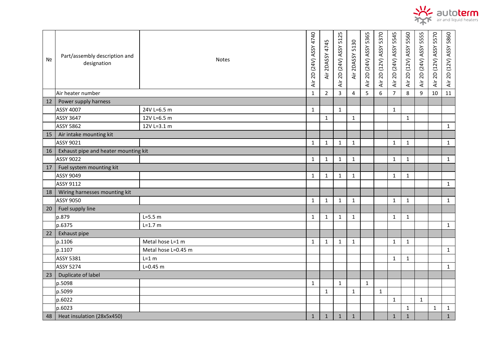

| Nº | Part/assembly description and<br>designation | <b>Notes</b>        | Air 2D (24V) ASSY 4740 | Air 2DASSY 4745 | Air 2D (24V) ASSY 5125 | Air 2DASSY 5130 | Air 2D (24V) ASSY 5365 | 5370<br>Air 2D (12V) ASSY | Air 2D (24V) ASSY 5545 | Air 2D (12V) ASSY 5560 | Air 2D (24V) ASSY 5555 | Air 2D (12V) ASSY 5570 | Air 2D (12V) ASSY 5860 |
|----|----------------------------------------------|---------------------|------------------------|-----------------|------------------------|-----------------|------------------------|---------------------------|------------------------|------------------------|------------------------|------------------------|------------------------|
|    | Air heater number                            |                     | $\mathbf{1}$           | $\overline{2}$  | $\overline{3}$         | $\overline{4}$  | 5                      | 6                         | $\overline{7}$         | 8                      | 9                      | 10                     | 11                     |
| 12 | Power supply harness                         |                     |                        |                 |                        |                 |                        |                           |                        |                        |                        |                        |                        |
|    | ASSY 4007                                    | 24V L=6.5 m         | $\mathbf{1}$           |                 | $\mathbf{1}$           |                 |                        |                           | $\mathbf{1}$           |                        |                        |                        |                        |
|    | <b>ASSY 3647</b>                             | 12V L=6.5 m         |                        | $\mathbf{1}$    |                        | $\mathbf{1}$    |                        |                           |                        | $\mathbf{1}$           |                        |                        |                        |
|    | <b>ASSY 5862</b>                             | 12V L=3.1 m         |                        |                 |                        |                 |                        |                           |                        |                        |                        |                        | $\mathbf{1}$           |
| 15 | Air intake mounting kit                      |                     |                        |                 |                        |                 |                        |                           |                        |                        |                        |                        |                        |
|    | ASSY 9021                                    |                     | $\mathbf{1}$           | $\mathbf{1}$    | $\mathbf{1}$           | $\mathbf{1}$    |                        |                           | $\mathbf{1}$           | $\mathbf{1}$           |                        |                        | $\mathbf{1}$           |
| 16 | Exhaust pipe and heater mounting kit         |                     |                        |                 |                        |                 |                        |                           |                        |                        |                        |                        |                        |
|    | <b>ASSY 9022</b>                             |                     | $\mathbf{1}$           | $\mathbf{1}$    | $\mathbf{1}$           | $\mathbf{1}$    |                        |                           | $\mathbf{1}$           | $\mathbf{1}$           |                        |                        | $\mathbf{1}$           |
| 17 | Fuel system mounting kit                     |                     |                        |                 |                        |                 |                        |                           |                        |                        |                        |                        |                        |
|    | <b>ASSY 9049</b>                             |                     | $\mathbf{1}$           | $\mathbf{1}$    | $\mathbf{1}$           | $\mathbf{1}$    |                        |                           | $\mathbf{1}$           | $\mathbf{1}$           |                        |                        |                        |
|    | <b>ASSY 9112</b>                             |                     |                        |                 |                        |                 |                        |                           |                        |                        |                        |                        | $\mathbf{1}$           |
| 18 | Wiring harnesses mounting kit                |                     |                        |                 |                        |                 |                        |                           |                        |                        |                        |                        |                        |
|    | <b>ASSY 9050</b>                             |                     | $\mathbf{1}$           | $\mathbf{1}$    | $\mathbf{1}$           | $\mathbf{1}$    |                        |                           | $\mathbf{1}$           | $\mathbf{1}$           |                        |                        | $\mathbf{1}$           |
| 20 | Fuel supply line                             |                     |                        |                 |                        |                 |                        |                           |                        |                        |                        |                        |                        |
|    | p.879                                        | $L = 5.5 m$         | $\mathbf{1}$           | $\mathbf{1}$    | $\mathbf{1}$           | $\mathbf{1}$    |                        |                           | $\mathbf{1}$           | $\mathbf{1}$           |                        |                        |                        |
|    | p.6375                                       | $L = 1.7 m$         |                        |                 |                        |                 |                        |                           |                        |                        |                        |                        | $\mathbf{1}$           |
| 22 | Exhaust pipe                                 |                     |                        |                 |                        |                 |                        |                           |                        |                        |                        |                        |                        |
|    | p.1106                                       | Metal hose L=1 m    | $\mathbf{1}$           | $\mathbf{1}$    | $\mathbf{1}$           | $\mathbf{1}$    |                        |                           | $\mathbf{1}$           | $\mathbf{1}$           |                        |                        |                        |
|    | p.1107                                       | Metal hose L=0.45 m |                        |                 |                        |                 |                        |                           |                        |                        |                        |                        | $\mathbf{1}$           |
|    | <b>ASSY 5381</b>                             | $L=1 m$             |                        |                 |                        |                 |                        |                           | $\mathbf{1}$           | $\mathbf{1}$           |                        |                        |                        |
|    | <b>ASSY 5274</b>                             | $L = 0.45$ m        |                        |                 |                        |                 |                        |                           |                        |                        |                        |                        | 1                      |
| 23 | Duplicate of label                           |                     |                        |                 |                        |                 |                        |                           |                        |                        |                        |                        |                        |
|    | p.5098                                       |                     | $\mathbf{1}$           |                 | $\mathbf{1}$           |                 | $\mathbf{1}$           |                           |                        |                        |                        |                        |                        |
|    | p.5099                                       |                     |                        | $\mathbf{1}$    |                        | $\mathbf{1}$    |                        | $\mathbf{1}$              |                        |                        |                        |                        |                        |
|    | p.6022                                       |                     |                        |                 |                        |                 |                        |                           | $\mathbf{1}$           |                        | $\mathbf{1}$           |                        |                        |
|    | p.6023                                       |                     |                        |                 |                        |                 |                        |                           |                        | $\mathbf{1}$           |                        | $\mathbf{1}$           | $\mathbf{1}$           |
| 48 | Heat insulation (28x5x450)                   |                     |                        | $\mathbf{1}$    | $\mathbf{1}$           | $\mathbf{1}$    |                        |                           | $\mathbf 1$            | $\mathbf 1$            |                        |                        | $\mathbf 1$            |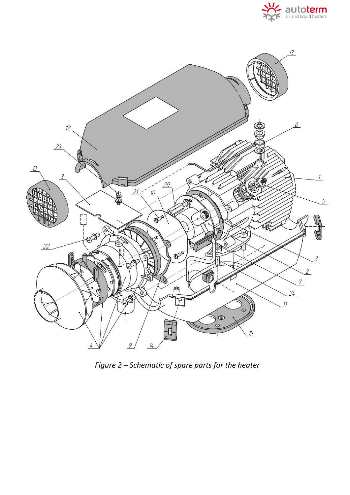



*Figure 2 – Schematic of spare parts for the heater*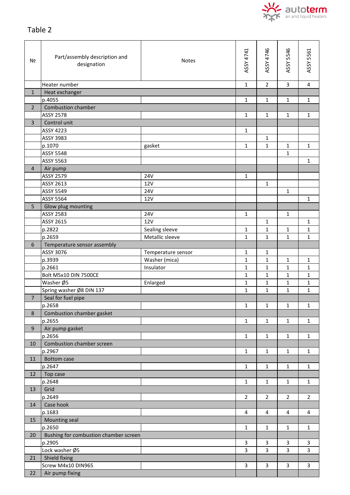

## Table 2

| N <sub>2</sub> | Part/assembly description and<br>designation | <b>Notes</b>       | ASSY 4741      | ASSY 4746      | ASSY 5546      | ASSY 5561      |
|----------------|----------------------------------------------|--------------------|----------------|----------------|----------------|----------------|
|                | Heater number                                |                    | $\mathbf{1}$   | $\overline{2}$ | 3              | 4              |
| $\mathbf{1}$   | Heat exchanger                               |                    |                |                |                |                |
|                | p.4055                                       |                    | $\mathbf{1}$   | 1              | 1              | $\mathbf{1}$   |
| $\overline{2}$ | <b>Combustion chamber</b>                    |                    |                |                |                |                |
|                | <b>ASSY 2578</b>                             |                    | $\mathbf{1}$   | 1              | 1              | 1              |
| 3              | Control unit                                 |                    |                |                |                |                |
|                | ASSY 4223                                    |                    | $\mathbf 1$    |                |                |                |
|                | ASSY 3983                                    |                    |                | 1              |                |                |
|                | p.1070                                       | gasket             | $\mathbf{1}$   | 1              | 1              | $\mathbf{1}$   |
|                | <b>ASSY 5548</b>                             |                    |                |                | $\mathbf{1}$   |                |
|                | ASSY 5563                                    |                    |                |                |                | $\mathbf{1}$   |
| $\overline{4}$ |                                              |                    |                |                |                |                |
|                | Air pump<br><b>ASSY 2579</b>                 | <b>24V</b>         |                |                |                |                |
|                | ASSY 2613                                    |                    | $\mathbf{1}$   |                |                |                |
|                |                                              | <b>12V</b>         |                | $\mathbf 1$    |                |                |
|                | <b>ASSY 5549</b>                             | <b>24V</b>         |                |                | 1              |                |
|                | <b>ASSY 5564</b>                             | 12V                |                |                |                | 1              |
| 5              | Glow plug mounting                           |                    |                |                |                |                |
|                | ASSY 2583                                    | <b>24V</b>         | $\mathbf{1}$   |                | 1              |                |
|                | ASSY 2615                                    | <b>12V</b>         |                | 1              |                | 1              |
|                | p.2822                                       | Sealing sleeve     | $\mathbf{1}$   | 1              | 1              | 1              |
|                | p.2659                                       | Metallic sleeve    | $\mathbf{1}$   | $\mathbf{1}$   | $\mathbf{1}$   | $\mathbf{1}$   |
| 6              | Temperature sensor assembly                  |                    |                |                |                |                |
|                | ASSY 3076                                    | Temperature sensor | $\mathbf{1}$   | 1              |                |                |
|                | p.3939                                       | Washer (mica)      | $\mathbf{1}$   | 1              | 1              | 1              |
|                | p.2661                                       | Insulator          | $\mathbf{1}$   | 1              | 1              | 1              |
|                | Bolt M5x10 DIN 7500CE                        |                    | $\mathbf{1}$   | 1              | 1              | 1              |
|                | Washer Ø5                                    | Enlarged           | 1              | 1              | 1              | 1              |
|                | Spring washer Ø8 DIN 137                     |                    | $\mathbf{1}$   | $\mathbf{1}$   | $\mathbf{1}$   | 1              |
| $\overline{7}$ | Seal for fuel pipe                           |                    |                |                |                |                |
|                | p.2658                                       |                    | $\mathbf{1}$   | 1              | 1              | 1              |
| 8              | Combustion chamber gasket                    |                    |                |                |                |                |
|                | p.2655                                       |                    | $\mathbf{1}$   | $\mathbf{1}$   | $\mathbf{1}$   | $\mathbf{1}$   |
| 9              | Air pump gasket                              |                    |                |                |                |                |
|                | p.2656                                       |                    | $\mathbf{1}$   | $\mathbf{1}$   | $\mathbf{1}$   | $\mathbf{1}$   |
| 10             | Combustion chamber screen                    |                    |                |                |                |                |
|                | p.2967                                       |                    | $\mathbf{1}$   | 1              | 1              | 1              |
| 11             | <b>Bottom case</b>                           |                    |                |                |                |                |
|                | p.2647                                       |                    | $\mathbf{1}$   | 1              | 1              | $\mathbf{1}$   |
| 12             | Top case                                     |                    |                |                |                |                |
|                | p.2648                                       |                    | $\mathbf{1}$   | 1              | 1              | $\mathbf{1}$   |
| 13             | Grid                                         |                    |                |                |                |                |
|                | p.2649                                       |                    | $\overline{2}$ | $\overline{2}$ | $\overline{2}$ | $\overline{2}$ |
| 14             | Case hook                                    |                    |                |                |                |                |
|                | p.1683                                       |                    | 4              | 4              | 4              | 4              |
| 15             | Mounting seal                                |                    |                |                |                |                |
|                | p.2650                                       |                    | $\mathbf{1}$   | $\mathbf{1}$   | $\mathbf{1}$   | $\mathbf{1}$   |
| 20             | Bushing for combustion chamber screen        |                    |                |                |                |                |
|                | p.2905                                       |                    | 3              | 3              | 3              | 3              |
|                | Lock washer Ø5                               |                    | $\overline{3}$ | $\overline{3}$ | $\overline{3}$ | $\overline{3}$ |
| 21             | Shield fixing                                |                    |                |                |                |                |
|                | Screw M4x10 DIN965                           |                    | 3              | 3              | 3              | 3              |
| 22             | Air pump fixing                              |                    |                |                |                |                |
|                |                                              |                    |                |                |                |                |